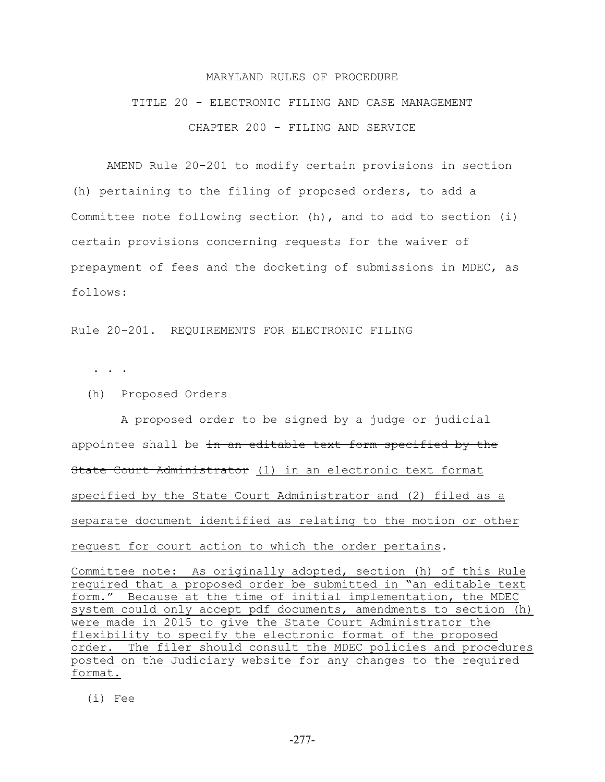## MARYLAND RULES OF PROCEDURE

## TITLE 20 - ELECTRONIC FILING AND CASE MANAGEMENT CHAPTER 200 - FILING AND SERVICE

AMEND Rule 20-201 to modify certain provisions in section (h) pertaining to the filing of proposed orders, to add a Committee note following section (h), and to add to section (i) certain provisions concerning requests for the waiver of prepayment of fees and the docketing of submissions in MDEC, as follows:

Rule 20-201. REQUIREMENTS FOR ELECTRONIC FILING

. . .

(h) Proposed Orders

 A proposed order to be signed by a judge or judicial appointee shall be in an editable text form specified by the State Court Administrator (1) in an electronic text format specified by the State Court Administrator and (2) filed as a separate document identified as relating to the motion or other request for court action to which the order pertains.

Committee note: As originally adopted, section (h) of this Rule required that a proposed order be submitted in "an editable text form." Because at the time of initial implementation, the MDEC system could only accept pdf documents, amendments to section (h) were made in 2015 to give the State Court Administrator the flexibility to specify the electronic format of the proposed order. The filer should consult the MDEC policies and procedures posted on the Judiciary website for any changes to the required format.

(i) Fee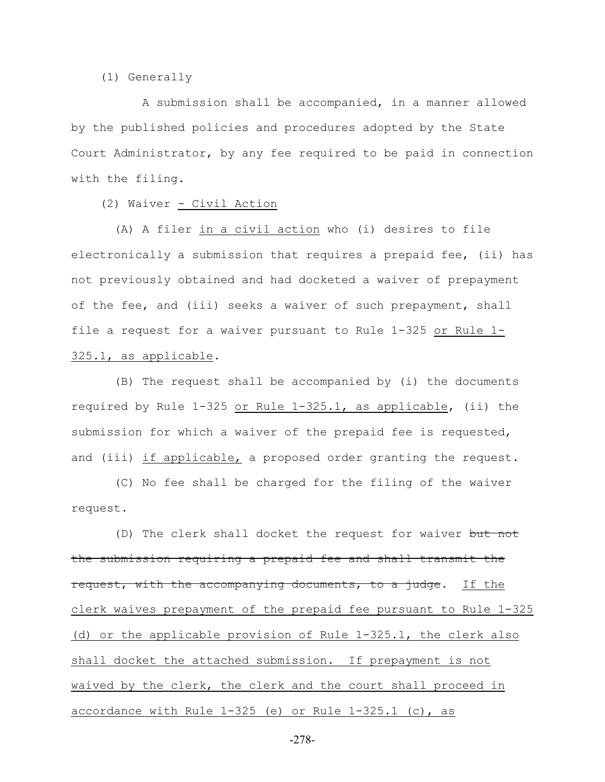(1) Generally

 A submission shall be accompanied, in a manner allowed by the published policies and procedures adopted by the State Court Administrator, by any fee required to be paid in connection with the filing.

(2) Waiver - Civil Action

 (A) A filer in a civil action who (i) desires to file electronically a submission that requires a prepaid fee, (ii) has not previously obtained and had docketed a waiver of prepayment of the fee, and (iii) seeks a waiver of such prepayment, shall file a request for a waiver pursuant to Rule 1-325 or Rule 1- 325.1, as applicable.

 (B) The request shall be accompanied by (i) the documents required by Rule 1-325 or Rule 1-325.1, as applicable, (ii) the submission for which a waiver of the prepaid fee is requested, and (iii) if applicable, a proposed order granting the request.

 (C) No fee shall be charged for the filing of the waiver request.

(D) The clerk shall docket the request for waiver but not the submission requiring a prepaid fee and shall transmit the request, with the accompanying documents, to a judge. If the clerk waives prepayment of the prepaid fee pursuant to Rule 1-325 (d) or the applicable provision of Rule 1-325.1, the clerk also shall docket the attached submission. If prepayment is not waived by the clerk, the clerk and the court shall proceed in accordance with Rule 1-325 (e) or Rule 1-325.1 (c), as

-278-